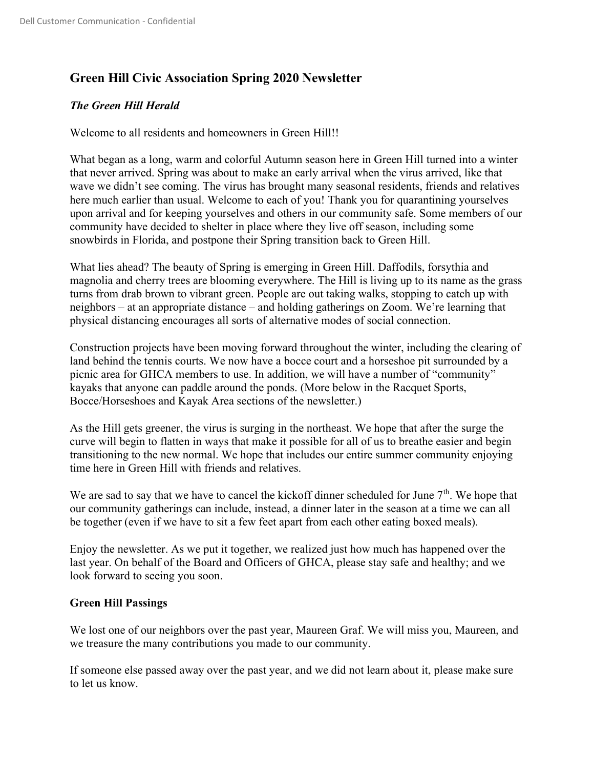# Green Hill Civic Association Spring 2020 Newsletter

# The Green Hill Herald

Welcome to all residents and homeowners in Green Hill!!

What began as a long, warm and colorful Autumn season here in Green Hill turned into a winter that never arrived. Spring was about to make an early arrival when the virus arrived, like that wave we didn't see coming. The virus has brought many seasonal residents, friends and relatives here much earlier than usual. Welcome to each of you! Thank you for quarantining yourselves upon arrival and for keeping yourselves and others in our community safe. Some members of our community have decided to shelter in place where they live off season, including some snowbirds in Florida, and postpone their Spring transition back to Green Hill.

What lies ahead? The beauty of Spring is emerging in Green Hill. Daffodils, forsythia and magnolia and cherry trees are blooming everywhere. The Hill is living up to its name as the grass turns from drab brown to vibrant green. People are out taking walks, stopping to catch up with neighbors – at an appropriate distance – and holding gatherings on Zoom. We're learning that physical distancing encourages all sorts of alternative modes of social connection.

Construction projects have been moving forward throughout the winter, including the clearing of land behind the tennis courts. We now have a bocce court and a horseshoe pit surrounded by a picnic area for GHCA members to use. In addition, we will have a number of "community" kayaks that anyone can paddle around the ponds. (More below in the Racquet Sports, Bocce/Horseshoes and Kayak Area sections of the newsletter.)

As the Hill gets greener, the virus is surging in the northeast. We hope that after the surge the curve will begin to flatten in ways that make it possible for all of us to breathe easier and begin transitioning to the new normal. We hope that includes our entire summer community enjoying time here in Green Hill with friends and relatives.

We are sad to say that we have to cancel the kickoff dinner scheduled for June  $7<sup>th</sup>$ . We hope that our community gatherings can include, instead, a dinner later in the season at a time we can all be together (even if we have to sit a few feet apart from each other eating boxed meals).

Enjoy the newsletter. As we put it together, we realized just how much has happened over the last year. On behalf of the Board and Officers of GHCA, please stay safe and healthy; and we look forward to seeing you soon.

# Green Hill Passings

We lost one of our neighbors over the past year, Maureen Graf. We will miss you, Maureen, and we treasure the many contributions you made to our community.

If someone else passed away over the past year, and we did not learn about it, please make sure to let us know.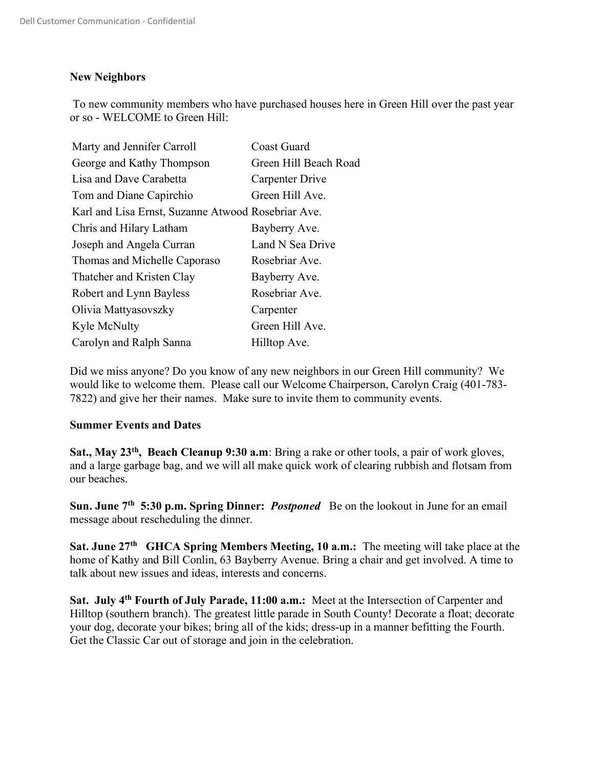### New Neighbors

To new community members who have purchased houses here in Green Hill over the past year or so - WELCOME to Green Hill:

| Marty and Jennifer Carroll                         | Coast Guard           |
|----------------------------------------------------|-----------------------|
| George and Kathy Thompson                          | Green Hill Beach Road |
| Lisa and Dave Carabetta                            | Carpenter Drive       |
| Tom and Diane Capirchio                            | Green Hill Ave.       |
| Karl and Lisa Ernst, Suzanne Atwood Rosebriar Ave. |                       |
| Chris and Hilary Latham                            | Bayberry Ave.         |
| Joseph and Angela Curran                           | Land N Sea Drive      |
| Thomas and Michelle Caporaso                       | Rosebriar Ave.        |
| Thatcher and Kristen Clay                          | Bayberry Ave.         |
| Robert and Lynn Bayless                            | Rosebriar Ave.        |
| Olivia Mattyasovszky                               | Carpenter             |
| Kyle McNulty                                       | Green Hill Ave.       |
| Carolyn and Ralph Sanna                            | Hilltop Ave.          |

Did we miss anyone? Do you know of any new neighbors in our Green Hill community? We would like to welcome them. Please call our Welcome Chairperson, Carolyn Craig (401-783- 7822) and give her their names. Make sure to invite them to community events.

#### Summer Events and Dates

Sat., May 23<sup>th</sup>, Beach Cleanup 9:30 a.m: Bring a rake or other tools, a pair of work gloves, and a large garbage bag, and we will all make quick work of clearing rubbish and flotsam from our beaches.

Sun. June 7<sup>th</sup> 5:30 p.m. Spring Dinner: *Postponed* Be on the lookout in June for an email message about rescheduling the dinner.

Sat. June  $27<sup>th</sup>$  GHCA Spring Members Meeting, 10 a.m.: The meeting will take place at the home of Kathy and Bill Conlin, 63 Bayberry Avenue. Bring a chair and get involved. A time to talk about new issues and ideas, interests and concerns.

Sat. July 4<sup>th</sup> Fourth of July Parade, 11:00 a.m.: Meet at the Intersection of Carpenter and Hilltop (southern branch). The greatest little parade in South County! Decorate a float; decorate your dog, decorate your bikes; bring all of the kids; dress-up in a manner befitting the Fourth. Get the Classic Car out of storage and join in the celebration.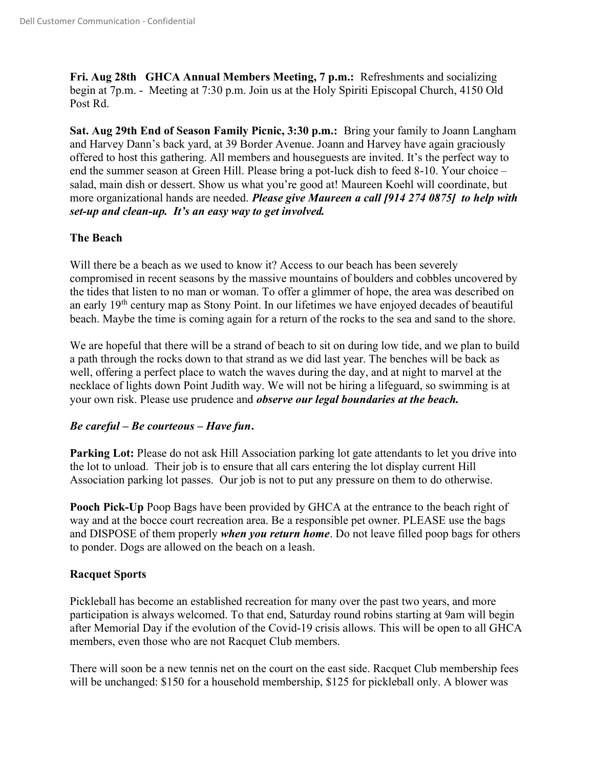Fri. Aug 28th GHCA Annual Members Meeting, 7 p.m.: Refreshments and socializing begin at 7p.m. - Meeting at 7:30 p.m. Join us at the Holy Spiriti Episcopal Church, 4150 Old Post Rd.

Sat. Aug 29th End of Season Family Picnic, 3:30 p.m.: Bring your family to Joann Langham and Harvey Dann's back yard, at 39 Border Avenue. Joann and Harvey have again graciously offered to host this gathering. All members and houseguests are invited. It's the perfect way to end the summer season at Green Hill. Please bring a pot-luck dish to feed 8-10. Your choice – salad, main dish or dessert. Show us what you're good at! Maureen Koehl will coordinate, but more organizational hands are needed. *Please give Maureen a call [914 274 0875] to help with* set-up and clean-up. It's an easy way to get involved.

# The Beach

Will there be a beach as we used to know it? Access to our beach has been severely compromised in recent seasons by the massive mountains of boulders and cobbles uncovered by the tides that listen to no man or woman. To offer a glimmer of hope, the area was described on an early 19th century map as Stony Point. In our lifetimes we have enjoyed decades of beautiful beach. Maybe the time is coming again for a return of the rocks to the sea and sand to the shore.

We are hopeful that there will be a strand of beach to sit on during low tide, and we plan to build a path through the rocks down to that strand as we did last year. The benches will be back as well, offering a perfect place to watch the waves during the day, and at night to marvel at the necklace of lights down Point Judith way. We will not be hiring a lifeguard, so swimming is at your own risk. Please use prudence and *observe our legal boundaries at the beach*.

# Be careful – Be courteous – Have fun.

Parking Lot: Please do not ask Hill Association parking lot gate attendants to let you drive into the lot to unload. Their job is to ensure that all cars entering the lot display current Hill Association parking lot passes. Our job is not to put any pressure on them to do otherwise.

Pooch Pick-Up Poop Bags have been provided by GHCA at the entrance to the beach right of way and at the bocce court recreation area. Be a responsible pet owner. PLEASE use the bags and DISPOSE of them properly when you return home. Do not leave filled poop bags for others to ponder. Dogs are allowed on the beach on a leash.

# Racquet Sports

Pickleball has become an established recreation for many over the past two years, and more participation is always welcomed. To that end, Saturday round robins starting at 9am will begin after Memorial Day if the evolution of the Covid-19 crisis allows. This will be open to all GHCA members, even those who are not Racquet Club members.

There will soon be a new tennis net on the court on the east side. Racquet Club membership fees will be unchanged: \$150 for a household membership, \$125 for pickleball only. A blower was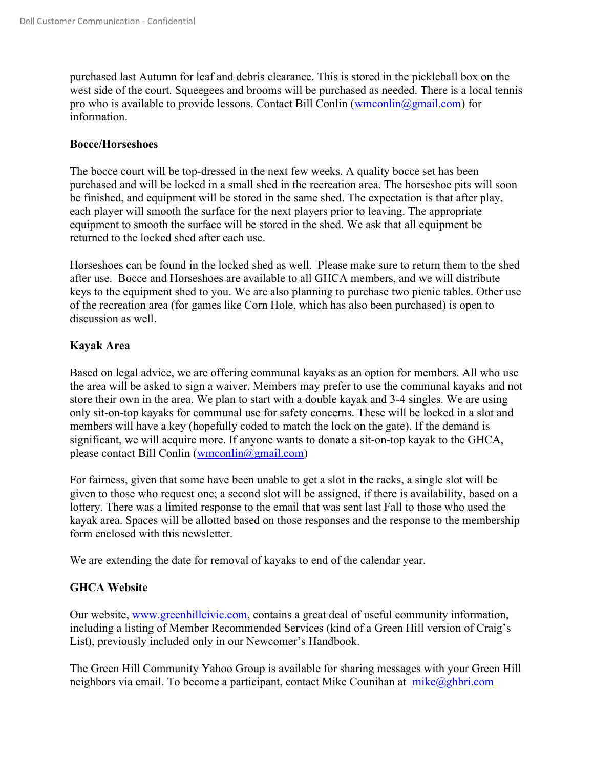purchased last Autumn for leaf and debris clearance. This is stored in the pickleball box on the west side of the court. Squeegees and brooms will be purchased as needed. There is a local tennis pro who is available to provide lessons. Contact Bill Conlin (wmconlin@gmail.com) for information.

#### Bocce/Horseshoes

The bocce court will be top-dressed in the next few weeks. A quality bocce set has been purchased and will be locked in a small shed in the recreation area. The horseshoe pits will soon be finished, and equipment will be stored in the same shed. The expectation is that after play, each player will smooth the surface for the next players prior to leaving. The appropriate equipment to smooth the surface will be stored in the shed. We ask that all equipment be returned to the locked shed after each use.

Horseshoes can be found in the locked shed as well. Please make sure to return them to the shed after use. Bocce and Horseshoes are available to all GHCA members, and we will distribute keys to the equipment shed to you. We are also planning to purchase two picnic tables. Other use of the recreation area (for games like Corn Hole, which has also been purchased) is open to discussion as well.

# Kayak Area

Based on legal advice, we are offering communal kayaks as an option for members. All who use the area will be asked to sign a waiver. Members may prefer to use the communal kayaks and not store their own in the area. We plan to start with a double kayak and 3-4 singles. We are using only sit-on-top kayaks for communal use for safety concerns. These will be locked in a slot and members will have a key (hopefully coded to match the lock on the gate). If the demand is significant, we will acquire more. If anyone wants to donate a sit-on-top kayak to the GHCA, please contact Bill Conlin (wmconlin $(\partial g$ mail.com)

For fairness, given that some have been unable to get a slot in the racks, a single slot will be given to those who request one; a second slot will be assigned, if there is availability, based on a lottery. There was a limited response to the email that was sent last Fall to those who used the kayak area. Spaces will be allotted based on those responses and the response to the membership form enclosed with this newsletter.

We are extending the date for removal of kayaks to end of the calendar year.

# GHCA Website

Our website, www.greenhillcivic.com, contains a great deal of useful community information, including a listing of Member Recommended Services (kind of a Green Hill version of Craig's List), previously included only in our Newcomer's Handbook.

The Green Hill Community Yahoo Group is available for sharing messages with your Green Hill neighbors via email. To become a participant, contact Mike Counihan at  $mike@ghbri.com$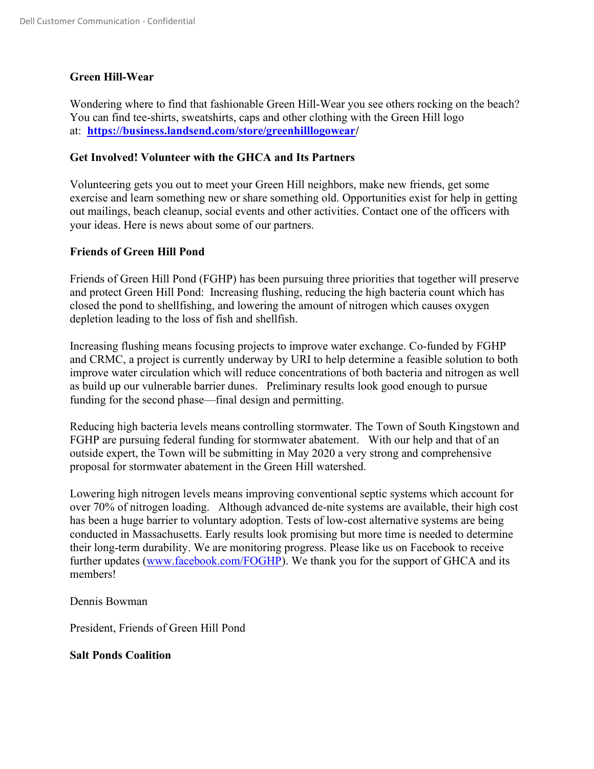### Green Hill-Wear

Wondering where to find that fashionable Green Hill-Wear you see others rocking on the beach? You can find tee-shirts, sweatshirts, caps and other clothing with the Green Hill logo at: https://business.landsend.com/store/greenhilllogowear/

#### Get Involved! Volunteer with the GHCA and Its Partners

Volunteering gets you out to meet your Green Hill neighbors, make new friends, get some exercise and learn something new or share something old. Opportunities exist for help in getting out mailings, beach cleanup, social events and other activities. Contact one of the officers with your ideas. Here is news about some of our partners.

### Friends of Green Hill Pond

Friends of Green Hill Pond (FGHP) has been pursuing three priorities that together will preserve and protect Green Hill Pond: Increasing flushing, reducing the high bacteria count which has closed the pond to shellfishing, and lowering the amount of nitrogen which causes oxygen depletion leading to the loss of fish and shellfish.

Increasing flushing means focusing projects to improve water exchange. Co-funded by FGHP and CRMC, a project is currently underway by URI to help determine a feasible solution to both improve water circulation which will reduce concentrations of both bacteria and nitrogen as well as build up our vulnerable barrier dunes. Preliminary results look good enough to pursue funding for the second phase—final design and permitting.

Reducing high bacteria levels means controlling stormwater. The Town of South Kingstown and FGHP are pursuing federal funding for stormwater abatement. With our help and that of an outside expert, the Town will be submitting in May 2020 a very strong and comprehensive proposal for stormwater abatement in the Green Hill watershed.

Lowering high nitrogen levels means improving conventional septic systems which account for over 70% of nitrogen loading. Although advanced de-nite systems are available, their high cost has been a huge barrier to voluntary adoption. Tests of low-cost alternative systems are being conducted in Massachusetts. Early results look promising but more time is needed to determine their long-term durability. We are monitoring progress. Please like us on Facebook to receive further updates (www.facebook.com/FOGHP). We thank you for the support of GHCA and its members!

Dennis Bowman

President, Friends of Green Hill Pond

#### Salt Ponds Coalition